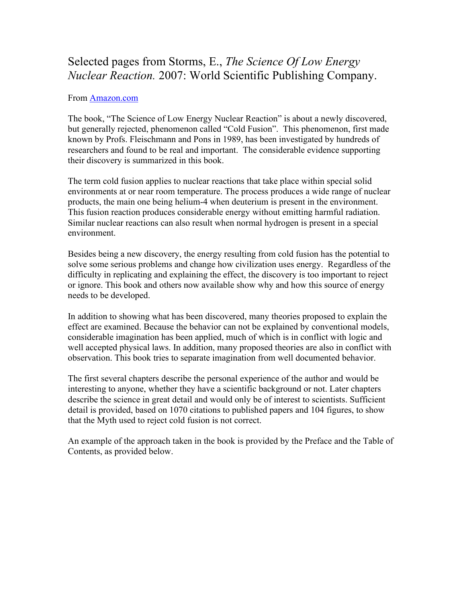## Selected pages from Storms, E., *The Science Of Low Energy Nuclear Reaction.* 2007: World Scientific Publishing Company.

## From [Amazon.com](https://www.amazon.com/Science-Energy-Nuclear-Reaction-Comprehensive/dp/B00OM2SRKC)

The book, "The Science of Low Energy Nuclear Reaction" is about a newly discovered, but generally rejected, phenomenon called "Cold Fusion". This phenomenon, first made known by Profs. Fleischmann and Pons in 1989, has been investigated by hundreds of researchers and found to be real and important. The considerable evidence supporting their discovery is summarized in this book.

The term cold fusion applies to nuclear reactions that take place within special solid environments at or near room temperature. The process produces a wide range of nuclear products, the main one being helium-4 when deuterium is present in the environment. This fusion reaction produces considerable energy without emitting harmful radiation. Similar nuclear reactions can also result when normal hydrogen is present in a special environment.

Besides being a new discovery, the energy resulting from cold fusion has the potential to solve some serious problems and change how civilization uses energy. Regardless of the difficulty in replicating and explaining the effect, the discovery is too important to reject or ignore. This book and others now available show why and how this source of energy needs to be developed.

In addition to showing what has been discovered, many theories proposed to explain the effect are examined. Because the behavior can not be explained by conventional models, considerable imagination has been applied, much of which is in conflict with logic and well accepted physical laws. In addition, many proposed theories are also in conflict with observation. This book tries to separate imagination from well documented behavior.

The first several chapters describe the personal experience of the author and would be interesting to anyone, whether they have a scientific background or not. Later chapters describe the science in great detail and would only be of interest to scientists. Sufficient detail is provided, based on 1070 citations to published papers and 104 figures, to show that the Myth used to reject cold fusion is not correct.

An example of the approach taken in the book is provided by the Preface and the Table of Contents, as provided below.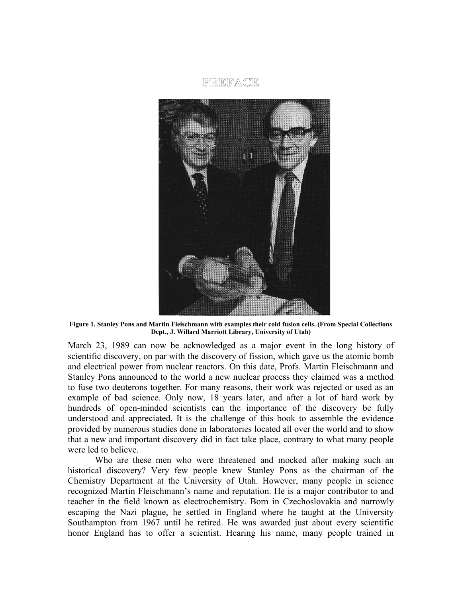## **PREFACE**



**Figure 1. Stanley Pons and Martin Fleischmann with examples their cold fusion cells. (From Special Collections Dept., J. Willard Marriott Library, University of Utah)**

March 23, 1989 can now be acknowledged as a major event in the long history of scientific discovery, on par with the discovery of fission, which gave us the atomic bomb and electrical power from nuclear reactors. On this date, Profs. Martin Fleischmann and Stanley Pons announced to the world a new nuclear process they claimed was a method to fuse two deuterons together. For many reasons, their work was rejected or used as an example of bad science. Only now, 18 years later, and after a lot of hard work by hundreds of open-minded scientists can the importance of the discovery be fully understood and appreciated. It is the challenge of this book to assemble the evidence provided by numerous studies done in laboratories located all over the world and to show that a new and important discovery did in fact take place, contrary to what many people were led to believe.

Who are these men who were threatened and mocked after making such an historical discovery? Very few people knew Stanley Pons as the chairman of the Chemistry Department at the University of Utah. However, many people in science recognized Martin Fleischmann's name and reputation. He is a major contributor to and teacher in the field known as electrochemistry. Born in Czechoslovakia and narrowly escaping the Nazi plague, he settled in England where he taught at the University Southampton from 1967 until he retired. He was awarded just about every scientific honor England has to offer a scientist. Hearing his name, many people trained in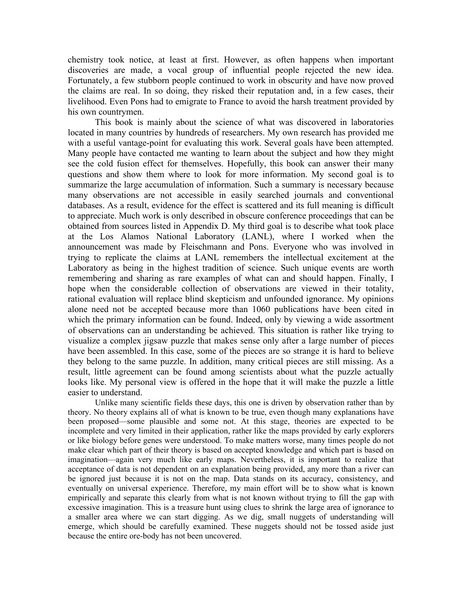chemistry took notice, at least at first. However, as often happens when important discoveries are made, a vocal group of influential people rejected the new idea. Fortunately, a few stubborn people continued to work in obscurity and have now proved the claims are real. In so doing, they risked their reputation and, in a few cases, their livelihood. Even Pons had to emigrate to France to avoid the harsh treatment provided by his own countrymen.

This book is mainly about the science of what was discovered in laboratories located in many countries by hundreds of researchers. My own research has provided me with a useful vantage-point for evaluating this work. Several goals have been attempted. Many people have contacted me wanting to learn about the subject and how they might see the cold fusion effect for themselves. Hopefully, this book can answer their many questions and show them where to look for more information. My second goal is to summarize the large accumulation of information. Such a summary is necessary because many observations are not accessible in easily searched journals and conventional databases. As a result, evidence for the effect is scattered and its full meaning is difficult to appreciate. Much work is only described in obscure conference proceedings that can be obtained from sources listed in Appendix D. My third goal is to describe what took place at the Los Alamos National Laboratory (LANL), where I worked when the announcement was made by Fleischmann and Pons. Everyone who was involved in trying to replicate the claims at LANL remembers the intellectual excitement at the Laboratory as being in the highest tradition of science. Such unique events are worth remembering and sharing as rare examples of what can and should happen. Finally, I hope when the considerable collection of observations are viewed in their totality, rational evaluation will replace blind skepticism and unfounded ignorance. My opinions alone need not be accepted because more than 1060 publications have been cited in which the primary information can be found. Indeed, only by viewing a wide assortment of observations can an understanding be achieved. This situation is rather like trying to visualize a complex jigsaw puzzle that makes sense only after a large number of pieces have been assembled. In this case, some of the pieces are so strange it is hard to believe they belong to the same puzzle. In addition, many critical pieces are still missing. As a result, little agreement can be found among scientists about what the puzzle actually looks like. My personal view is offered in the hope that it will make the puzzle a little easier to understand.

Unlike many scientific fields these days, this one is driven by observation rather than by theory. No theory explains all of what is known to be true, even though many explanations have been proposed—some plausible and some not. At this stage, theories are expected to be incomplete and very limited in their application, rather like the maps provided by early explorers or like biology before genes were understood. To make matters worse, many times people do not make clear which part of their theory is based on accepted knowledge and which part is based on imagination—again very much like early maps. Nevertheless, it is important to realize that acceptance of data is not dependent on an explanation being provided, any more than a river can be ignored just because it is not on the map. Data stands on its accuracy, consistency, and eventually on universal experience. Therefore, my main effort will be to show what is known empirically and separate this clearly from what is not known without trying to fill the gap with excessive imagination. This is a treasure hunt using clues to shrink the large area of ignorance to a smaller area where we can start digging. As we dig, small nuggets of understanding will emerge, which should be carefully examined. These nuggets should not be tossed aside just because the entire ore-body has not been uncovered.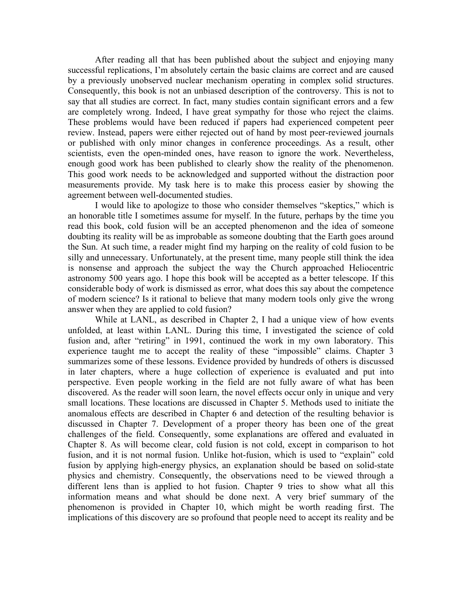After reading all that has been published about the subject and enjoying many successful replications, I'm absolutely certain the basic claims are correct and are caused by a previously unobserved nuclear mechanism operating in complex solid structures. Consequently, this book is not an unbiased description of the controversy. This is not to say that all studies are correct. In fact, many studies contain significant errors and a few are completely wrong. Indeed, I have great sympathy for those who reject the claims. These problems would have been reduced if papers had experienced competent peer review. Instead, papers were either rejected out of hand by most peer-reviewed journals or published with only minor changes in conference proceedings. As a result, other scientists, even the open-minded ones, have reason to ignore the work. Nevertheless, enough good work has been published to clearly show the reality of the phenomenon. This good work needs to be acknowledged and supported without the distraction poor measurements provide. My task here is to make this process easier by showing the agreement between well-documented studies.

I would like to apologize to those who consider themselves "skeptics," which is an honorable title I sometimes assume for myself. In the future, perhaps by the time you read this book, cold fusion will be an accepted phenomenon and the idea of someone doubting its reality will be as improbable as someone doubting that the Earth goes around the Sun. At such time, a reader might find my harping on the reality of cold fusion to be silly and unnecessary. Unfortunately, at the present time, many people still think the idea is nonsense and approach the subject the way the Church approached Heliocentric astronomy 500 years ago. I hope this book will be accepted as a better telescope. If this considerable body of work is dismissed as error, what does this say about the competence of modern science? Is it rational to believe that many modern tools only give the wrong answer when they are applied to cold fusion?

While at LANL, as described in Chapter 2, I had a unique view of how events unfolded, at least within LANL. During this time, I investigated the science of cold fusion and, after "retiring" in 1991, continued the work in my own laboratory. This experience taught me to accept the reality of these "impossible" claims. Chapter 3 summarizes some of these lessons. Evidence provided by hundreds of others is discussed in later chapters, where a huge collection of experience is evaluated and put into perspective. Even people working in the field are not fully aware of what has been discovered. As the reader will soon learn, the novel effects occur only in unique and very small locations. These locations are discussed in Chapter 5. Methods used to initiate the anomalous effects are described in Chapter 6 and detection of the resulting behavior is discussed in Chapter 7. Development of a proper theory has been one of the great challenges of the field. Consequently, some explanations are offered and evaluated in Chapter 8. As will become clear, cold fusion is not cold, except in comparison to hot fusion, and it is not normal fusion. Unlike hot-fusion, which is used to "explain" cold fusion by applying high-energy physics, an explanation should be based on solid-state physics and chemistry. Consequently, the observations need to be viewed through a different lens than is applied to hot fusion. Chapter 9 tries to show what all this information means and what should be done next. A very brief summary of the phenomenon is provided in Chapter 10, which might be worth reading first. The implications of this discovery are so profound that people need to accept its reality and be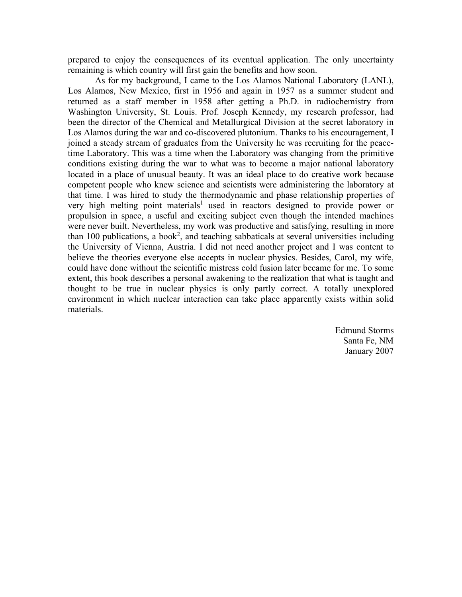prepared to enjoy the consequences of its eventual application. The only uncertainty remaining is which country will first gain the benefits and how soon.

As for my background, I came to the Los Alamos National Laboratory (LANL), Los Alamos, New Mexico, first in 1956 and again in 1957 as a summer student and returned as a staff member in 1958 after getting a Ph.D. in radiochemistry from Washington University, St. Louis. Prof. Joseph Kennedy, my research professor, had been the director of the Chemical and Metallurgical Division at the secret laboratory in Los Alamos during the war and co-discovered plutonium. Thanks to his encouragement, I joined a steady stream of graduates from the University he was recruiting for the peacetime Laboratory. This was a time when the Laboratory was changing from the primitive conditions existing during the war to what was to become a major national laboratory located in a place of unusual beauty. It was an ideal place to do creative work because competent people who knew science and scientists were administering the laboratory at that time. I was hired to study the thermodynamic and phase relationship properties of very high melting point materials<sup>1</sup> used in reactors designed to provide power or propulsion in space, a useful and exciting subject even though the intended machines were never built. Nevertheless, my work was productive and satisfying, resulting in more than 100 publications, a book<sup>2</sup>, and teaching sabbaticals at several universities including the University of Vienna, Austria. I did not need another project and I was content to believe the theories everyone else accepts in nuclear physics. Besides, Carol, my wife, could have done without the scientific mistress cold fusion later became for me. To some extent, this book describes a personal awakening to the realization that what is taught and thought to be true in nuclear physics is only partly correct. A totally unexplored environment in which nuclear interaction can take place apparently exists within solid materials.

> Edmund Storms Santa Fe, NM January 2007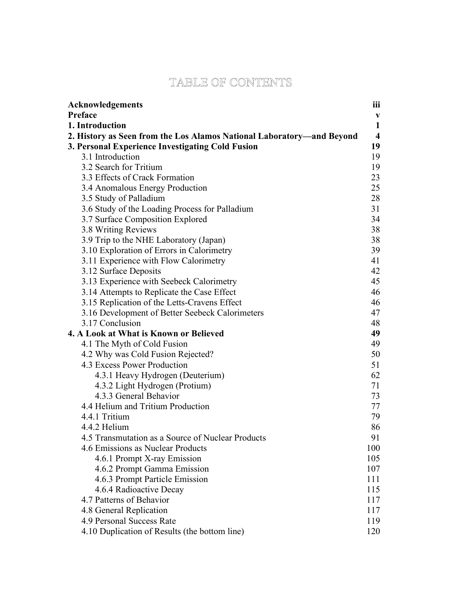## TABLE OF CONTENTS

| <b>Acknowledgements</b>                                               | iii                     |
|-----------------------------------------------------------------------|-------------------------|
| Preface                                                               | V                       |
| 1. Introduction                                                       | $\mathbf{1}$            |
| 2. History as Seen from the Los Alamos National Laboratory—and Beyond | $\overline{\mathbf{4}}$ |
| 3. Personal Experience Investigating Cold Fusion                      | 19                      |
| 3.1 Introduction                                                      | 19                      |
| 3.2 Search for Tritium                                                | 19                      |
| 3.3 Effects of Crack Formation                                        | 23                      |
| 3.4 Anomalous Energy Production                                       | 25                      |
| 3.5 Study of Palladium                                                | 28                      |
| 3.6 Study of the Loading Process for Palladium                        | 31                      |
| 3.7 Surface Composition Explored                                      | 34                      |
| 3.8 Writing Reviews                                                   | 38                      |
| 3.9 Trip to the NHE Laboratory (Japan)                                | 38                      |
| 3.10 Exploration of Errors in Calorimetry                             | 39                      |
| 3.11 Experience with Flow Calorimetry                                 | 41                      |
| 3.12 Surface Deposits                                                 | 42                      |
| 3.13 Experience with Seebeck Calorimetry                              | 45                      |
| 3.14 Attempts to Replicate the Case Effect                            | 46                      |
| 3.15 Replication of the Letts-Cravens Effect                          | 46                      |
| 3.16 Development of Better Seebeck Calorimeters<br>3.17 Conclusion    | 47                      |
| 4. A Look at What is Known or Believed                                | 48                      |
|                                                                       | 49                      |
| 4.1 The Myth of Cold Fusion<br>4.2 Why was Cold Fusion Rejected?      | 49<br>50                |
| 4.3 Excess Power Production                                           | 51                      |
| 4.3.1 Heavy Hydrogen (Deuterium)                                      | 62                      |
| 4.3.2 Light Hydrogen (Protium)                                        | 71                      |
| 4.3.3 General Behavior                                                | 73                      |
| 4.4 Helium and Tritium Production                                     | 77                      |
| 4.4.1 Tritium                                                         | 79                      |
| 4.4.2 Helium                                                          | 86                      |
| 4.5 Transmutation as a Source of Nuclear Products                     | 91                      |
| 4.6 Emissions as Nuclear Products                                     | 100                     |
| 4.6.1 Prompt X-ray Emission                                           | 105                     |
| 4.6.2 Prompt Gamma Emission                                           | 107                     |
| 4.6.3 Prompt Particle Emission                                        | 111                     |
| 4.6.4 Radioactive Decay                                               | 115                     |
| 4.7 Patterns of Behavior                                              | 117                     |
| 4.8 General Replication                                               | 117                     |
| 4.9 Personal Success Rate                                             | 119                     |
| 4.10 Duplication of Results (the bottom line)                         | 120                     |
|                                                                       |                         |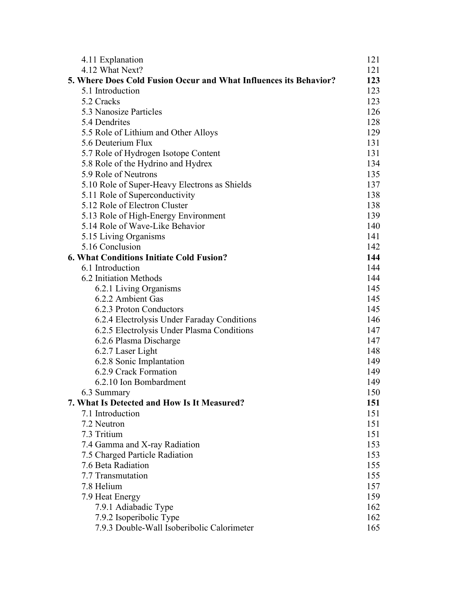| 4.11 Explanation                                                  | 121 |
|-------------------------------------------------------------------|-----|
| 4.12 What Next?                                                   | 121 |
| 5. Where Does Cold Fusion Occur and What Influences its Behavior? | 123 |
| 5.1 Introduction                                                  | 123 |
| 5.2 Cracks                                                        | 123 |
| 5.3 Nanosize Particles                                            | 126 |
| 5.4 Dendrites                                                     | 128 |
| 5.5 Role of Lithium and Other Alloys                              | 129 |
| 5.6 Deuterium Flux                                                | 131 |
| 5.7 Role of Hydrogen Isotope Content                              | 131 |
| 5.8 Role of the Hydrino and Hydrex                                | 134 |
| 5.9 Role of Neutrons                                              | 135 |
| 5.10 Role of Super-Heavy Electrons as Shields                     | 137 |
| 5.11 Role of Superconductivity                                    | 138 |
| 5.12 Role of Electron Cluster                                     | 138 |
| 5.13 Role of High-Energy Environment                              | 139 |
| 5.14 Role of Wave-Like Behavior                                   | 140 |
| 5.15 Living Organisms                                             | 141 |
| 5.16 Conclusion                                                   | 142 |
| <b>6. What Conditions Initiate Cold Fusion?</b>                   | 144 |
| 6.1 Introduction                                                  | 144 |
| 6.2 Initiation Methods                                            | 144 |
| 6.2.1 Living Organisms                                            | 145 |
| 6.2.2 Ambient Gas                                                 | 145 |
| 6.2.3 Proton Conductors                                           | 145 |
| 6.2.4 Electrolysis Under Faraday Conditions                       | 146 |
| 6.2.5 Electrolysis Under Plasma Conditions                        | 147 |
| 6.2.6 Plasma Discharge                                            | 147 |
| 6.2.7 Laser Light                                                 | 148 |
| 6.2.8 Sonic Implantation                                          | 149 |
| 6.2.9 Crack Formation                                             | 149 |
| 6.2.10 Ion Bombardment                                            | 149 |
| 6.3 Summary                                                       | 150 |
| 7. What Is Detected and How Is It Measured?                       | 151 |
| 7.1 Introduction                                                  | 151 |
| 7.2 Neutron                                                       | 151 |
| 7.3 Tritium                                                       | 151 |
| 7.4 Gamma and X-ray Radiation                                     | 153 |
| 7.5 Charged Particle Radiation                                    | 153 |
| 7.6 Beta Radiation                                                | 155 |
| 7.7 Transmutation                                                 | 155 |
| 7.8 Helium                                                        | 157 |
| 7.9 Heat Energy                                                   | 159 |
| 7.9.1 Adiabadic Type                                              | 162 |
| 7.9.2 Isoperibolic Type                                           | 162 |
| 7.9.3 Double-Wall Isoberibolic Calorimeter                        | 165 |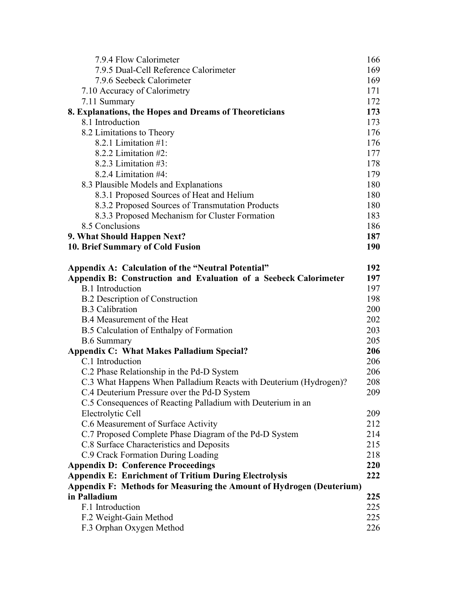| 7.9.4 Flow Calorimeter                                               | 166        |
|----------------------------------------------------------------------|------------|
| 7.9.5 Dual-Cell Reference Calorimeter                                | 169        |
| 7.9.6 Seebeck Calorimeter                                            | 169        |
| 7.10 Accuracy of Calorimetry                                         | 171        |
| 7.11 Summary                                                         | 172        |
| 8. Explanations, the Hopes and Dreams of Theoreticians               | 173        |
| 8.1 Introduction                                                     | 173        |
| 8.2 Limitations to Theory                                            | 176        |
| 8.2.1 Limitation $#1$ :                                              | 176        |
| 8.2.2 Limitation #2:                                                 | 177        |
| 8.2.3 Limitation #3:                                                 | 178        |
| 8.2.4 Limitation #4:                                                 | 179        |
| 8.3 Plausible Models and Explanations                                | 180        |
| 8.3.1 Proposed Sources of Heat and Helium                            | 180        |
| 8.3.2 Proposed Sources of Transmutation Products                     | 180        |
| 8.3.3 Proposed Mechanism for Cluster Formation                       | 183        |
| 8.5 Conclusions                                                      | 186        |
| 9. What Should Happen Next?                                          | 187        |
| 10. Brief Summary of Cold Fusion                                     | <b>190</b> |
| <b>Appendix A: Calculation of the "Neutral Potential"</b>            | 192        |
| Appendix B: Construction and Evaluation of a Seebeck Calorimeter     | 197        |
| <b>B.1</b> Introduction                                              | 197        |
| <b>B.2 Description of Construction</b>                               | 198        |
| <b>B.3</b> Calibration                                               | 200        |
| B.4 Measurement of the Heat                                          | 202        |
| B.5 Calculation of Enthalpy of Formation                             | 203        |
| <b>B.6 Summary</b>                                                   | 205        |
| <b>Appendix C: What Makes Palladium Special?</b>                     | 206        |
| C.1 Introduction                                                     | 206        |
| C.2 Phase Relationship in the Pd-D System                            | 206        |
| C.3 What Happens When Palladium Reacts with Deuterium (Hydrogen)?    | 208        |
| C.4 Deuterium Pressure over the Pd-D System                          | 209        |
| C.5 Consequences of Reacting Palladium with Deuterium in an          |            |
| Electrolytic Cell                                                    | 209        |
| C.6 Measurement of Surface Activity                                  | 212        |
| C.7 Proposed Complete Phase Diagram of the Pd-D System               | 214        |
| C.8 Surface Characteristics and Deposits                             | 215        |
| C.9 Crack Formation During Loading                                   | 218        |
| <b>Appendix D: Conference Proceedings</b>                            | 220        |
| <b>Appendix E: Enrichment of Tritium During Electrolysis</b>         | 222        |
| Appendix F: Methods for Measuring the Amount of Hydrogen (Deuterium) |            |
| in Palladium                                                         | 225        |
| F.1 Introduction                                                     | 225        |
| F.2 Weight-Gain Method                                               | 225        |
| F.3 Orphan Oxygen Method                                             | 226        |